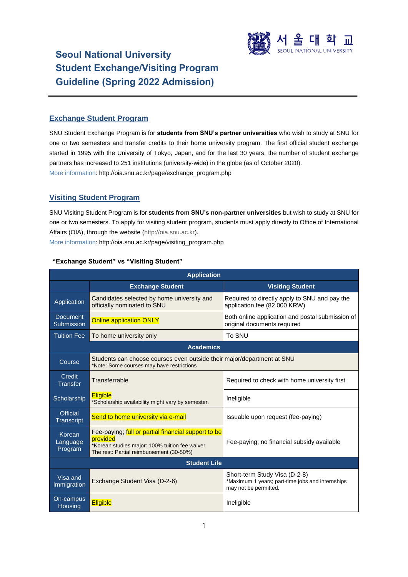

# **Seoul National University Student Exchange/Visiting Program Guideline (Spring 2022 Admission)**

# **Exchange Student Program**

SNU Student Exchange Program is for **students from SNU's partner universities** who wish to study at SNU for one or two semesters and transfer credits to their home university program. The first official student exchange started in 1995 with the University of Tokyo, Japan, and for the last 30 years, the number of student exchange partners has increased to 251 institutions (university-wide) in the globe (as of October 2020). More information[: http://oia.snu.ac.kr/page/exchange\\_program.php](http://oia.snu.ac.kr/page/exchange_program.php)

# **Visiting Student Program**

SNU Visiting Student Program is for **students from SNU's non-partner universities** but wish to study at SNU for one or two semesters. To apply for visiting student program, students must apply directly to Office of International Affairs (OIA), through the website [\(http://oia.snu.ac.kr\)](http://oia.snu.ac.kr/). More information: [http://oia.snu.ac.kr/page/visiting\\_program.php](http://oia.snu.ac.kr/page/visiting_program.php)

| <b>Application</b>                   |                                                                                                                                                               |                                                                                                            |  |
|--------------------------------------|---------------------------------------------------------------------------------------------------------------------------------------------------------------|------------------------------------------------------------------------------------------------------------|--|
|                                      | <b>Visiting Student</b><br><b>Exchange Student</b>                                                                                                            |                                                                                                            |  |
| Application                          | Candidates selected by home university and<br>officially nominated to SNU                                                                                     | Required to directly apply to SNU and pay the<br>application fee (82,000 KRW)                              |  |
| <b>Document</b><br>Submission        | <b>Online application ONLY</b>                                                                                                                                | Both online application and postal submission of<br>original documents required                            |  |
| <b>Tuition Fee</b>                   | To home university only                                                                                                                                       | To SNU                                                                                                     |  |
|                                      | <b>Academics</b>                                                                                                                                              |                                                                                                            |  |
| Course                               | Students can choose courses even outside their major/department at SNU<br>*Note: Some courses may have restrictions                                           |                                                                                                            |  |
| Credit<br><b>Transfer</b>            | Transferrable<br>Required to check with home university first                                                                                                 |                                                                                                            |  |
| Scholarship                          | <b>Eligible</b><br>*Scholarship availability might vary by semester.                                                                                          | Ineligible                                                                                                 |  |
| <b>Official</b><br><b>Transcript</b> | Send to home university via e-mail                                                                                                                            | Issuable upon request (fee-paying)                                                                         |  |
| Korean<br>Language<br>Program        | Fee-paying; full or partial financial support to be<br>provided<br>*Korean studies major: 100% tuition fee waiver<br>The rest: Partial reimbursement (30-50%) | Fee-paying; no financial subsidy available                                                                 |  |
| <b>Student Life</b>                  |                                                                                                                                                               |                                                                                                            |  |
| Visa and<br>Immigration              | Exchange Student Visa (D-2-6)                                                                                                                                 | Short-term Study Visa (D-2-8)<br>*Maximum 1 years; part-time jobs and internships<br>may not be permitted. |  |
| On-campus<br>Housing                 | <b>Eligible</b>                                                                                                                                               | Ineligible                                                                                                 |  |

# **"Exchange Student" vs "Visiting Student"**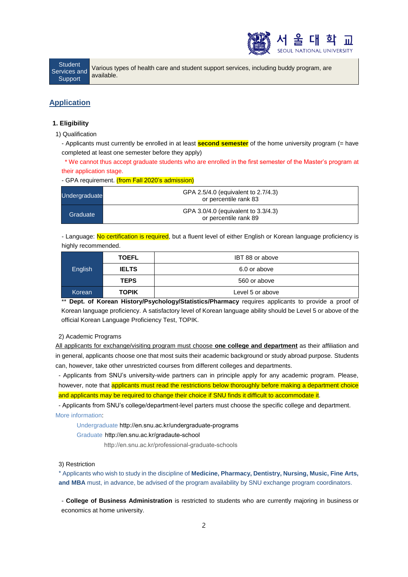

**Student** Services and **Support** 

Various types of health care and student support services, including buddy program, are available.

# **Application**

# **1. Eligibility**

1) Qualification

- Applicants must currently be enrolled in at least **second semester** of the home university program (= have completed at least one semester before they apply)

\* We cannot thus accept graduate students who are enrolled in the first semester of the Master's program at their application stage.

# - GPA requirement. (from Fall 2020's admission)

| Undergraduate | GPA 2.5/4.0 (equivalent to 2.7/4.3)<br>or percentile rank 83 |  |
|---------------|--------------------------------------------------------------|--|
| Graduate      | GPA 3.0/4.0 (equivalent to 3.3/4.3)<br>or percentile rank 89 |  |

- Language: No certification is required, but a fluent level of either English or Korean language proficiency is highly recommended.

| English | <b>TOEFL</b> | IBT 88 or above  |
|---------|--------------|------------------|
|         | <b>IELTS</b> | 6.0 or above     |
|         | <b>TEPS</b>  | 560 or above     |
| Korean  | <b>TOPIK</b> | Level 5 or above |

\*\* **Dept. of Korean History/Psychology/Statistics/Pharmacy** requires applicants to provide a proof of Korean language proficiency. A satisfactory level of Korean language ability should be Level 5 or above of the official Korean Language Proficiency Test, TOPIK.

#### 2) Academic Programs

All applicants for exchange/visiting program must choose **one college and department** as their affiliation and in general, applicants choose one that most suits their academic background or study abroad purpose. Students can, however, take other unrestricted courses from different colleges and departments.

- Applicants from SNU's university-wide partners can in principle apply for any academic program. Please, however, note that applicants must read the restrictions below thoroughly before making a department choice

and applicants may be required to change their choice if SNU finds it difficult to accommodate it.

- Applicants from SNU's college/department-level parters must choose the specific college and department. More information:

Undergraduat[e http://en.snu.ac.kr/undergraduate-programs](http://en.snu.ac.kr/undergraduate-programs%20/) 

### Graduate [http://en.snu.ac.kr/gradaute-school](http://en.snu.ac.kr/gradaute-school%20/)

<http://en.snu.ac.kr/professional-graduate-schools>

### 3) Restriction

\* Applicants who wish to study in the discipline of **Medicine, Pharmacy, Dentistry, Nursing, Music, Fine Arts, and MBA** must, in advance, be advised of the program availability by SNU exchange program coordinators.

- **College of Business Administration** is restricted to students who are currently majoring in business or economics at home university.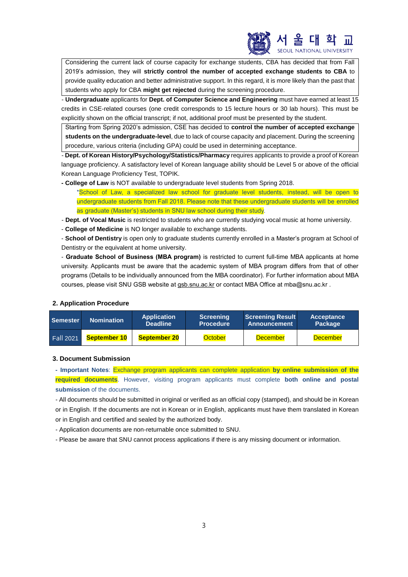

Considering the current lack of course capacity for exchange students, CBA has decided that from Fall 2019's admission, they will **strictly control the number of accepted exchange students to CBA** to provide quality education and better administrative support. In this regard, it is more likely than the past that students who apply for CBA **might get rejected** during the screening procedure.

- **Undergraduate** applicants for **Dept. of Computer Science and Engineering** must have earned at least 15 credits in CSE-related courses (one credit corresponds to 15 lecture hours or 30 lab hours). This must be explicitly shown on the official transcript; if not, additional proof must be presented by the student.

Starting from Spring 2020's admission, CSE has decided to **control the number of accepted exchange students on the undergraduate-level**, due to lack of course capacity and placement. During the screening procedure, various criteria (including GPA) could be used in determining acceptance.

- **Dept. of Korean History/Psychology/Statistics/Pharmacy** requires applicants to provide a proof of Korean language proficiency. A satisfactory level of Korean language ability should be Level 5 or above of the official Korean Language Proficiency Test, TOPIK.

- **- College of Law** is NOT available to undergraduate level students from Spring 2018.
	- \*School of Law, a specialized law school for graduate level students, instead, will be open to undergraduate students from Fall 2018. Please note that these undergraduate students will be enrolled as graduate (Master's) students in SNU law school during their study.
- **Dept. of Vocal Music** is restricted to students who are currently studying vocal music at home university.
- **College of Medicine** is NO longer available to exchange students.

- **School of Dentistry** is open only to graduate students currently enrolled in a Master's program at School of Dentistry or the equivalent at home university.

- **Graduate School of Business (MBA program)** is restricted to current full-time MBA applicants at home university. Applicants must be aware that the academic system of MBA program differs from that of other programs (Details to be individually announced from the MBA coordinator). For further information about MBA courses, please visit SNU GSB website at gsb.snu.ac.kr or contact MBA Office a[t mba@snu.ac.kr](mailto:mba@snu.ac.kr) .

# **2. Application Procedure**

| <b>Semester</b>  | <b>Nomination</b>   | <b>Application</b><br><b>Deadline</b> | <b>Screening</b><br><b>Procedure</b> | <b>Screening Result</b><br>Announcement | Acceptance<br><b>Package</b> |
|------------------|---------------------|---------------------------------------|--------------------------------------|-----------------------------------------|------------------------------|
| <b>Fall 2021</b> | <b>September 10</b> | <b>September 20</b>                   | October                              | <b>December</b>                         | <b>December</b>              |

### **3. Document Submission**

**- Important Notes**: Exchange program applicants can complete application **by online submission of the required documents**. However, visiting program applicants must complete **both online and postal submission** of the documents.

- All documents should be submitted in original or verified as an official copy (stamped), and should be in Korean or in English. If the documents are not in Korean or in English, applicants must have them translated in Korean or in English and certified and sealed by the authorized body.

- Application documents are non-returnable once submitted to SNU.

- Please be aware that SNU cannot process applications if there is any missing document or information.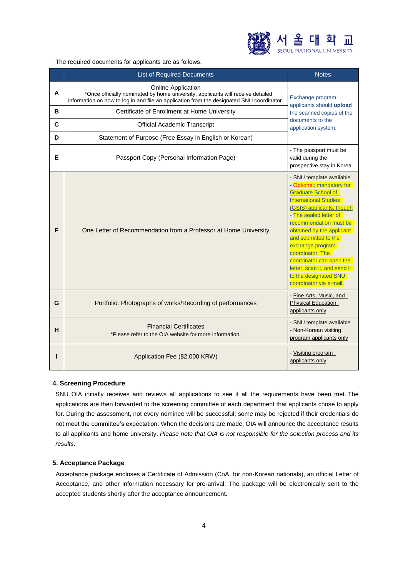

The required documents for applicants are as follows:

|   | <b>List of Required Documents</b>                                                                                                                                                                         | <b>Notes</b>                                                                                                                                                                                                                                                                                                                                                                                                     |  |
|---|-----------------------------------------------------------------------------------------------------------------------------------------------------------------------------------------------------------|------------------------------------------------------------------------------------------------------------------------------------------------------------------------------------------------------------------------------------------------------------------------------------------------------------------------------------------------------------------------------------------------------------------|--|
| A | <b>Online Application</b><br>*Once officially nominated by home university, applicants will receive detailed<br>information on how to log in and file an application from the designated SNU coordinator. | Exchange program<br>applicants should upload                                                                                                                                                                                                                                                                                                                                                                     |  |
| в | Certificate of Enrollment at Home University                                                                                                                                                              | the scanned copies of the                                                                                                                                                                                                                                                                                                                                                                                        |  |
| C | <b>Official Academic Transcript</b>                                                                                                                                                                       | documents to the<br>application system.                                                                                                                                                                                                                                                                                                                                                                          |  |
| D | Statement of Purpose (Free Essay in English or Korean)                                                                                                                                                    |                                                                                                                                                                                                                                                                                                                                                                                                                  |  |
| Е | Passport Copy (Personal Information Page)                                                                                                                                                                 | - The passport must be<br>valid during the<br>prospective stay in Korea.                                                                                                                                                                                                                                                                                                                                         |  |
| F | One Letter of Recommendation from a Professor at Home University                                                                                                                                          | - SNU template available<br>- Optional; mandatory for<br><b>Graduate School of</b><br><b>International Studies</b><br>(GSIS) applicants, though<br>- The sealed letter of<br>recommendation must be<br>obtained by the applicant<br>and submitted to the<br>exchange program<br>coordinator. The<br>coordinator can open the<br>letter, scan it, and send it<br>to the designated SNU<br>coordinator via e-mail. |  |
| G | Portfolio: Photographs of works/Recording of performances                                                                                                                                                 | - Fine Arts, Music, and<br><b>Physical Education</b><br>applicants only                                                                                                                                                                                                                                                                                                                                          |  |
| н | <b>Financial Certificates</b><br>*Please refer to the OIA website for more information.                                                                                                                   | - SNU template available<br>- Non-Korean visiting<br>program applicants only                                                                                                                                                                                                                                                                                                                                     |  |
|   | Application Fee (82,000 KRW)                                                                                                                                                                              | - Visiting program<br>applicants only                                                                                                                                                                                                                                                                                                                                                                            |  |

### **4. Screening Procedure**

SNU OIA initially receives and reviews all applications to see if all the requirements have been met. The applications are then forwarded to the screening committee of each department that applicants chose to apply for. During the assessment, not every nominee will be successful; some may be rejected if their credentials do not meet the committee's expectation. When the decisions are made, OIA will announce the acceptance results to all applicants and home university. *Please note that OIA is not responsible for the selection process and its results.*

# **5. Acceptance Package**

Acceptance package encloses a Certificate of Admission (CoA, for non-Korean nationals), an official Letter of Acceptance, and other information necessary for pre-arrival. The package will be electronically sent to the accepted students shortly after the acceptance announcement.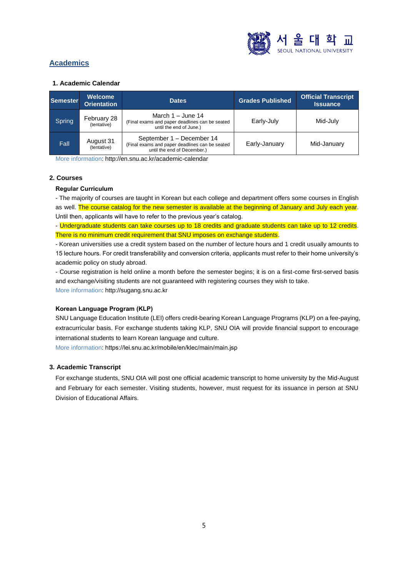

# **Academics**

### **1. Academic Calendar**

| Semester | Welcome<br><b>Orientation</b> | <b>Dates</b>                                                                                               | <b>Grades Published</b> | <b>Official Transcript</b><br><b>Issuance</b> |
|----------|-------------------------------|------------------------------------------------------------------------------------------------------------|-------------------------|-----------------------------------------------|
| Spring   | February 28<br>(tentative)    | March $1 -$ June 14<br>(Final exams and paper deadlines can be seated<br>until the end of June.)           | Early-July              | Mid-July                                      |
| Fall     | August 31<br>(tentative)      | September 1 - December 14<br>(Final exams and paper deadlines can be seated<br>until the end of December.) | Early-January           | Mid-January                                   |

More information[: http://en.snu.ac.kr/academic-calendar](http://en.snu.ac.kr/academic-calendar)

# **2. Courses**

# **Regular Curriculum**

- The majority of courses are taught in Korean but each college and department offers some courses in English as well. The course catalog for the new semester is available at the beginning of January and July each year. Until then, applicants will have to refer to the previous year's catalog.

- Undergraduate students can take courses up to 18 credits and graduate students can take up to 12 credits. There is no minimum credit requirement that SNU imposes on exchange students.

- Korean universities use a credit system based on the number of lecture hours and 1 credit usually amounts to 15 lecture hours. For credit transferability and conversion criteria, applicants must refer to their home university's academic policy on study abroad.

- Course registration is held online a month before the semester begins; it is on a first-come first-served basis and exchange/visiting students are not guaranteed with registering courses they wish to take. More information: [http://sugang.snu.ac.kr](http://sugang.snu.ac.kr/)

# **Korean Language Program (KLP)**

SNU Language Education Institute (LEI) offers credit-bearing Korean Language Programs (KLP) on a fee-paying, extracurricular basis. For exchange students taking KLP, SNU OIA will provide financial support to encourage international students to learn Korean language and culture.

More information: <https://lei.snu.ac.kr/mobile/en/klec/main/main.jsp>

# **3. Academic Transcript**

For exchange students, SNU OIA will post one official academic transcript to home university by the Mid-August and February for each semester. Visiting students, however, must request for its issuance in person at SNU Division of Educational Affairs.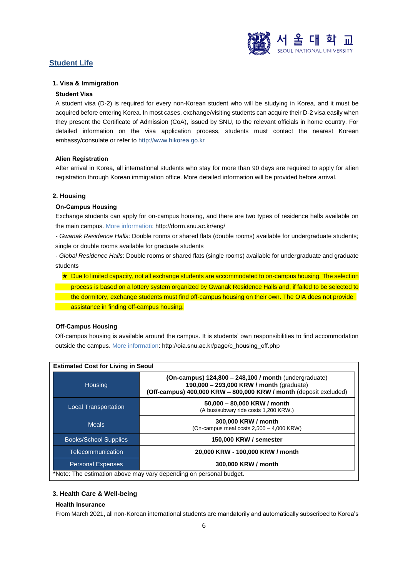

# **Student Life**

# **1. Visa & Immigration**

### **Student Visa**

A student visa (D-2) is required for every non-Korean student who will be studying in Korea, and it must be acquired before entering Korea. In most cases, exchange/visiting students can acquire their D-2 visa easily when they present the Certificate of Admission (CoA), issued by SNU, to the relevant officials in home country. For detailed information on the visa application process, students must contact the nearest Korean embassy/consulate or refer to [http://www.hikorea.go.kr](http://www.hikorea.go.kr/)

### **Alien Registration**

After arrival in Korea, all international students who stay for more than 90 days are required to apply for alien registration through Korean immigration office. More detailed information will be provided before arrival.

### **2. Housing**

### **On-Campus Housing**

Exchange students can apply for on-campus housing, and there are two types of residence halls available on the main campus. More information: <http://dorm.snu.ac.kr/eng/>

*- Gwanak Residence Halls*: Double rooms or shared flats (double rooms) available for undergraduate students; single or double rooms available for graduate students

*- Global Residence Halls*: Double rooms or shared flats (single rooms) available for undergraduate and graduate students

★ Due to limited capacity, not all exchange students are accommodated to on-campus housing. The selection process is based on a lottery system organized by Gwanak Residence Halls and, if failed to be selected to the dormitory, exchange students must find off-campus housing on their own. The OIA does not provide assistance in finding off-campus housing.

# **Off-Campus Housing**

Off-campus housing is available around the campus. It is students' own responsibilities to find accommodation outside the campus. More information: [http://oia.snu.ac.kr/page/c\\_housing\\_off.php](http://oia.snu.ac.kr/page/c_housing_off.php)

| <b>Estimated Cost for Living in Seoul</b> |                                                                                                                                                                          |  |
|-------------------------------------------|--------------------------------------------------------------------------------------------------------------------------------------------------------------------------|--|
| Housing                                   | (On-campus) $124,800 - 248,100$ / month (undergraduate)<br>190,000 - 293,000 KRW / month (graduate)<br>(Off-campus) 400,000 KRW - 800,000 KRW / month (deposit excluded) |  |
| <b>Local Transportation</b>               | 50,000 - 80,000 KRW / month<br>(A bus/subway ride costs 1,200 KRW.)                                                                                                      |  |
| <b>Meals</b>                              | 300,000 KRW / month<br>(On-campus meal costs $2,500 - 4,000$ KRW)                                                                                                        |  |
| <b>Books/School Supplies</b>              | 150,000 KRW / semester                                                                                                                                                   |  |
| Telecommunication                         | 20,000 KRW - 100,000 KRW / month                                                                                                                                         |  |
| <b>Personal Expenses</b>                  | 300,000 KRW / month                                                                                                                                                      |  |
|                                           | *Note: The estimation above may vary depending on personal budget.                                                                                                       |  |

# **3. Health Care & Well-being**

### **Health Insurance**

From March 2021, all non-Korean international students are mandatorily and automatically subscribed to Korea's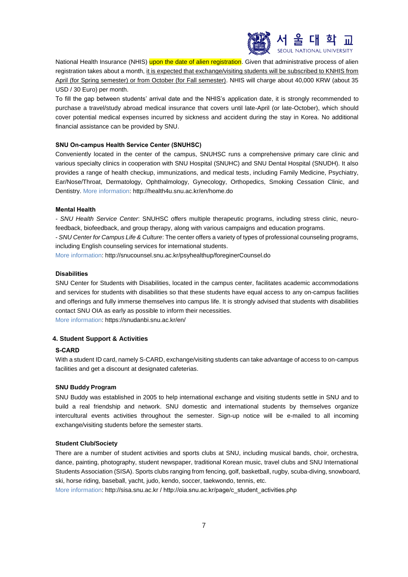

National Health Insurance (NHIS) upon the date of alien registration. Given that administrative process of alien registration takes about a month, it is expected that exchange/visiting students will be subscribed to KNHIS from April (for Spring semester) or from October (for Fall semester). NHIS will charge about 40,000 KRW (about 35 USD / 30 Euro) per month.

To fill the gap between students' arrival date and the NHIS's application date, it is strongly recommended to purchase a travel/study abroad medical insurance that covers until late-April (or late-October), which should cover potential medical expenses incurred by sickness and accident during the stay in Korea. No additional financial assistance can be provided by SNU.

### **SNU On-campus Health Service Center (SNUHSC)**

Conveniently located in the center of the campus, SNUHSC runs a comprehensive primary care clinic and various specialty clinics in cooperation with SNU Hospital (SNUHC) and SNU Dental Hospital (SNUDH). It also provides a range of health checkup, immunizations, and medical tests, including Family Medicine, Psychiatry, Ear/Nose/Throat, Dermatology, Ophthalmology, Gynecology, Orthopedics, Smoking Cessation Clinic, and Dentistry. More information:<http://health4u.snu.ac.kr/en/home.do>

### **Mental Health**

*- SNU Health Service Center*: SNUHSC offers multiple therapeutic programs, including stress clinic, neurofeedback, biofeedback, and group therapy, along with various campaigns and education programs.

*- SNU Center for Campus Life & Culture*: The center offers a variety of types of professional counseling programs, including English counseling services for international students.

More information: http://snucounsel.snu.ac.kr/psyhealthup/foreginerCounsel.do

### **Disabilities**

SNU Center for Students with Disabilities, located in the campus center, facilitates academic accommodations and services for students with disabilities so that these students have equal access to any on-campus facilities and offerings and fully immerse themselves into campus life. It is strongly advised that students with disabilities contact SNU OIA as early as possible to inform their necessities.

More information: https://snudanbi.snu.ac.kr/en/

# **4. Student Support & Activities**

### **S-CARD**

With a student ID card, namely S-CARD, exchange/visiting students can take advantage of access to on-campus facilities and get a discount at designated cafeterias.

### **SNU Buddy Program**

SNU Buddy was established in 2005 to help international exchange and visiting students settle in SNU and to build a real friendship and network. SNU domestic and international students by themselves organize intercultural events activities throughout the semester. Sign-up notice will be e-mailed to all incoming exchange/visiting students before the semester starts.

### **Student Club/Society**

There are a number of student activities and sports clubs at SNU, including musical bands, choir, orchestra, dance, painting, photography, student newspaper, traditional Korean music, travel clubs and SNU International Students Association (SISA). Sports clubs ranging from fencing, golf, basketball, rugby, scuba-diving, snowboard, ski, horse riding, baseball, yacht, judo, kendo, soccer, taekwondo, tennis, etc.

More information[: http://sisa.snu.ac.kr](http://sisa.snu.ac.kr/) [/ http://oia.snu.ac.kr/page/c\\_student\\_activities.php](http://oia.snu.ac.kr/page/c_student_activities.php)